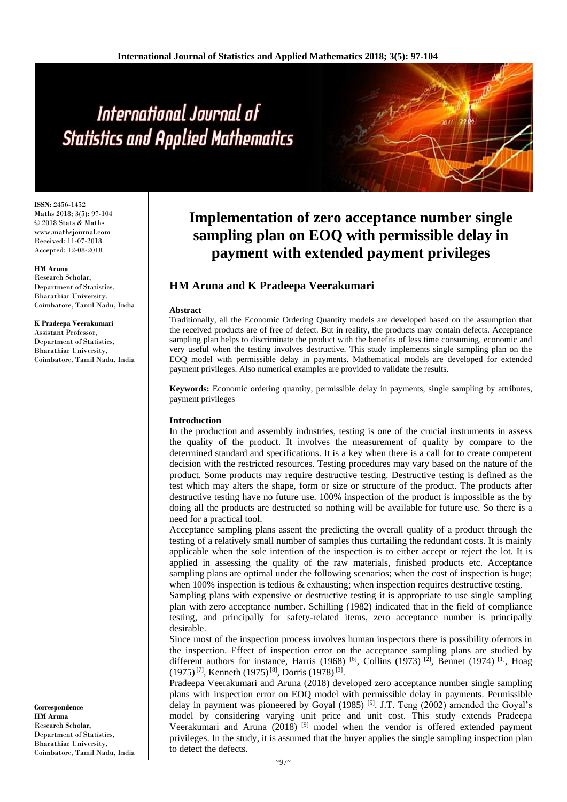**ISSN:** 2456-1452 Maths 2018; 3(5): 97-104 © 2018 Stats & Maths www.mathsjournal.com Received: 11-07-2018 Accepted: 12-08-2018

#### **HM Aruna**

Research Scholar, Department of Statistics, Bharathiar University, Coimbatore, Tamil Nadu, India

#### **K Pradeepa Veerakumari**

Assistant Professor, Department of Statistics, Bharathiar University, Coimbatore, Tamil Nadu, India

**Correspondence HM Aruna** Research Scholar, Department of Statistics, Bharathiar University, Coimbatore, Tamil Nadu, India

# **Implementation of zero acceptance number single sampling plan on EOQ with permissible delay in payment with extended payment privileges**

# **HM Aruna and K Pradeepa Veerakumari**

#### **Abstract**

Traditionally, all the Economic Ordering Quantity models are developed based on the assumption that the received products are of free of defect. But in reality, the products may contain defects. Acceptance sampling plan helps to discriminate the product with the benefits of less time consuming, economic and very useful when the testing involves destructive. This study implements single sampling plan on the EOQ model with permissible delay in payments. Mathematical models are developed for extended payment privileges. Also numerical examples are provided to validate the results.

**Keywords:** Economic ordering quantity, permissible delay in payments, single sampling by attributes, payment privileges

#### **Introduction**

In the production and assembly industries, testing is one of the crucial instruments in assess the quality of the product. It involves the measurement of quality by compare to the determined standard and specifications. It is a key when there is a call for to create competent decision with the restricted resources. Testing procedures may vary based on the nature of the product. Some products may require destructive testing. Destructive testing is defined as the test which may alters the shape, form or size or structure of the product. The products after destructive testing have no future use. 100% inspection of the product is impossible as the by doing all the products are destructed so nothing will be available for future use. So there is a need for a practical tool.

Acceptance sampling plans assent the predicting the overall quality of a product through the testing of a relatively small number of samples thus curtailing the redundant costs. It is mainly applicable when the sole intention of the inspection is to either accept or reject the lot. It is applied in assessing the quality of the raw materials, finished products etc. Acceptance sampling plans are optimal under the following scenarios; when the cost of inspection is huge; when 100% inspection is tedious  $&$  exhausting; when inspection requires destructive testing.

Sampling plans with expensive or destructive testing it is appropriate to use single sampling plan with zero acceptance number. Schilling (1982) indicated that in the field of compliance testing, and principally for safety-related items, zero acceptance number is principally desirable.

Since most of the inspection process involves human inspectors there is possibility oferrors in the inspection. Effect of inspection error on the acceptance sampling plans are studied by different authors for instance, Harris (1968) <sup>[6]</sup>, Collins (1973)<sup>[2]</sup>, Bennet (1974)<sup>[1]</sup>, Hoag (1975)<sup>[7]</sup>, Kenneth (1975)<sup>[8]</sup>, Dorris (1978)<sup>[3]</sup>.

Pradeepa Veerakumari and Aruna (2018) developed zero acceptance number single sampling plans with inspection error on EOQ model with permissible delay in payments. Permissible delay in payment was pioneered by Goyal  $(1985)$  [5]. J.T. Teng  $(2002)$  amended the Goyal's model by considering varying unit price and unit cost. This study extends Pradeepa Veerakumari and Aruna (2018) <sup>[9]</sup> model when the vendor is offered extended payment privileges. In the study, it is assumed that the buyer applies the single sampling inspection plan to detect the defects.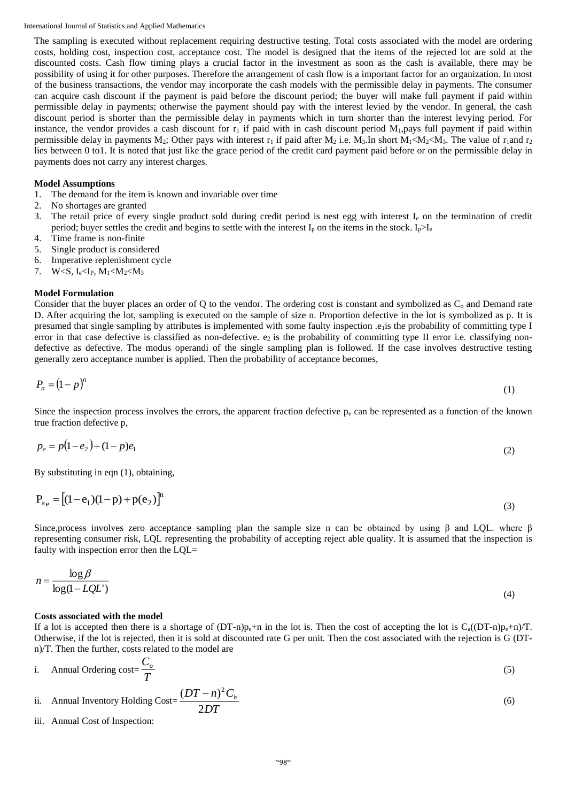The sampling is executed without replacement requiring destructive testing. Total costs associated with the model are ordering costs, holding cost, inspection cost, acceptance cost. The model is designed that the items of the rejected lot are sold at the discounted costs. Cash flow timing plays a crucial factor in the investment as soon as the cash is available, there may be possibility of using it for other purposes. Therefore the arrangement of cash flow is a important factor for an organization. In most of the business transactions, the vendor may incorporate the cash models with the permissible delay in payments. The consumer can acquire cash discount if the payment is paid before the discount period; the buyer will make full payment if paid within permissible delay in payments; otherwise the payment should pay with the interest levied by the vendor. In general, the cash discount period is shorter than the permissible delay in payments which in turn shorter than the interest levying period. For instance, the vendor provides a cash discount for  $r_1$  if paid with in cash discount period  $M_1$ , pays full payment if paid within permissible delay in payments M<sub>2</sub>; Other pays with interest r<sub>1</sub> if paid after M<sub>2</sub> i.e. M<sub>3</sub>.In short M<sub>1</sub><M<sub>2</sub><M<sub>3</sub>. The value of r<sub>1</sub>and r<sub>2</sub> lies between 0 to1. It is noted that just like the grace period of the credit card payment paid before or on the permissible delay in payments does not carry any interest charges.

#### **Model Assumptions**

- 1. The demand for the item is known and invariable over time
- 2. No shortages are granted
- 3. The retail price of every single product sold during credit period is nest egg with interest I<sup>e</sup> on the termination of credit period; buyer settles the credit and begins to settle with the interest  $I_p$  on the items in the stock.  $I_p>I_e$
- 4. Time frame is non-finite
- 5. Single product is considered
- 6. Imperative replenishment cycle
- 7. W<S,  $I_e < I_P$ ,  $M_1 < M_2 < M_3$

#### **Model Formulation**

Consider that the buyer places an order of Q to the vendor. The ordering cost is constant and symbolized as  $C_0$  and Demand rate D. After acquiring the lot, sampling is executed on the sample of size n. Proportion defective in the lot is symbolized as p. It is presumed that single sampling by attributes is implemented with some faulty inspection .e<sub>1</sub> is the probability of committing type I error in that case defective is classified as non-defective.  $e_2$  is the probability of committing type II error i.e. classifying nondefective as defective. The modus operandi of the single sampling plan is followed. If the case involves destructive testing generally zero acceptance number is applied. Then the probability of acceptance becomes,

$$
P_a = (1 - p)^n \tag{1}
$$

Since the inspection process involves the errors, the apparent fraction defective  $p_e$  can be represented as a function of the known true fraction defective p,

$$
p_e = p(1 - e_2) + (1 - p)e_1 \tag{2}
$$

By substituting in eqn (1), obtaining,

$$
P_{ae} = [(1 - e_1)(1 - p) + p(e_2)]^n
$$
\n(3)

Since, process involves zero acceptance sampling plan the sample size n can be obtained by using  $\beta$  and LQL. where  $\beta$ representing consumer risk, LQL representing the probability of accepting reject able quality. It is assumed that the inspection is faulty with inspection error then the LQL=

$$
n = \frac{\log \beta}{\log(1 - LQL^*)} \tag{4}
$$

#### **Costs associated with the model**

If a lot is accepted then there is a shortage of  $(DT-n)p_e+n$  in the lot is. Then the cost of accepting the lot is  $C_a((DT-n)p_e+n)/T$ . Otherwise, if the lot is rejected, then it is sold at discounted rate G per unit. Then the cost associated with the rejection is G (DTn)/T. Then the further, costs related to the model are

i. Annual Ordering cost = 
$$
\frac{C_o}{T}
$$
 (5)

ii. Annual Inventory holding Cost=
$$
\frac{(DT-n)^2C_h}{2DT}
$$
 (6)

iii. Annual Cost of Inspection: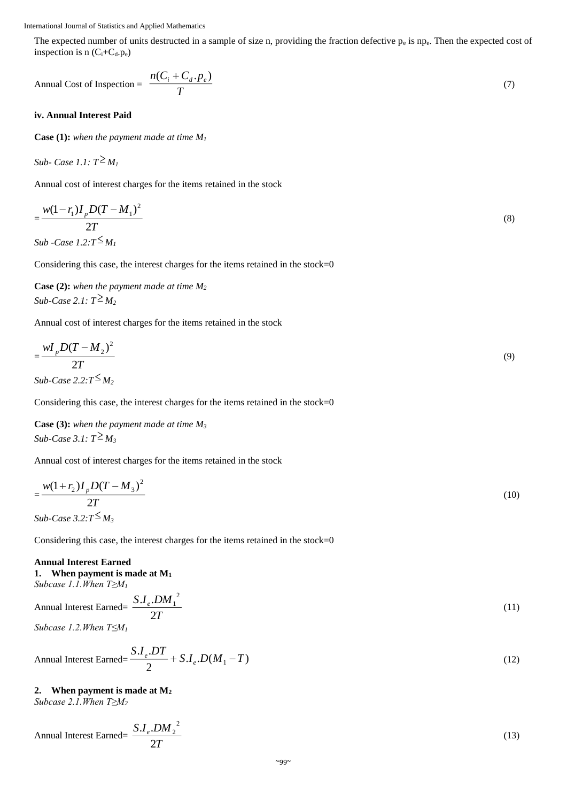The expected number of units destructed in a sample of size n, providing the fraction defective  $p_e$  is np $_e$ . Then the expected cost of inspection is n  $(C_i+C_d.p_e)$ 

$$
\text{Annual Cost of Inspection} = \frac{n(C_i + C_d \cdot P_e)}{T} \tag{7}
$$

#### **iv. Annual Interest Paid**

**Case (1):** *when the payment made at time M<sup>1</sup>*

Sub- Case 1.1: 
$$
T \geq M_1
$$

Annual cost of interest charges for the items retained in the stock

$$
=\frac{w(1-r_1)I_pD(T-M_1)^2}{2T}
$$
  
\nSub -Case 1.2:T $\leq$ M<sub>1</sub> (8)

Considering this case, the interest charges for the items retained in the stock=0

**Case (2):** *when the payment made at time M<sup>2</sup>* Sub-Case 2.1:  $T^{\geq} M_2$ 

Annual cost of interest charges for the items retained in the stock

$$
=\frac{wI_pD(T-M_2)^2}{2T}
$$
  
Sub-Case 2.2:T $\leq M_2$  (9)

Considering this case, the interest charges for the items retained in the stock=0

**Case (3):** *when the payment made at time M<sup>3</sup>*  $Sub\text{-}Case 3.1: T^{\geq}M_3$ 

Annual cost of interest charges for the items retained in the stock

$$
=\frac{w(1+r_2)I_pD(T-M_3)^2}{2T}
$$
\nSub-Case 3.2:T<sup>≤</sup>M<sub>3</sub> (10)

Considering this case, the interest charges for the items retained in the stock=0

### **Annual Interest Earned 1. When payment is made at M<sup>1</sup>**

*Subcase 1.1.When T≥M<sup>1</sup>*

Annual Interest Earned=
$$
\frac{S.I_e.DM_1^2}{2T}
$$
 (11)

*Subcase 1.2.When T≤M<sup>1</sup>*

$$
\text{Annual Interest Earned} = \frac{S.I_e.DT}{2} + S.I_e.D(M_1 - T) \tag{12}
$$

# **2. When payment is made at M<sup>2</sup>**

*Subcase 2.1.When T≥M<sup>2</sup>*

$$
\text{Annual Interest Earmed} = \frac{S.I_e.DM_2^2}{2T} \tag{13}
$$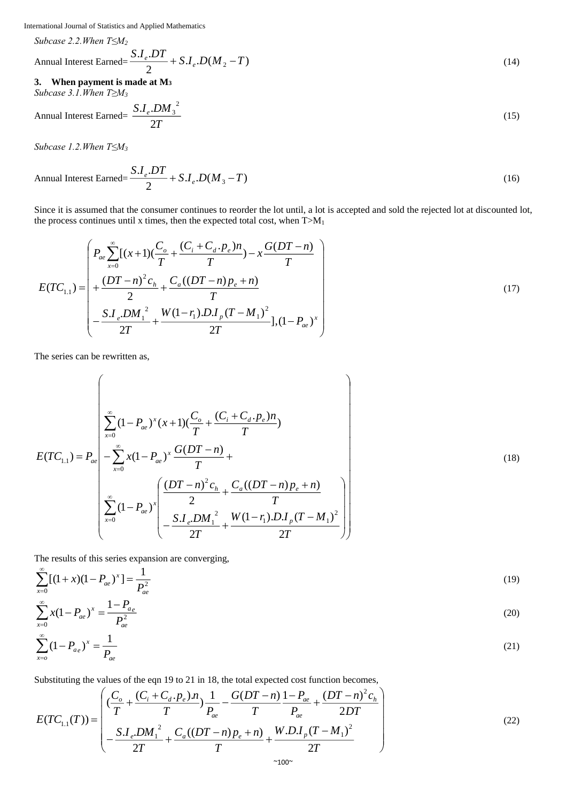*Subcase 2.2.When T≤M<sup>2</sup>*

$$
\text{Annual Interest Earned} = \frac{S.I_e.DT}{2} + S.I_e.D(M_2 - T) \tag{14}
$$

**3. When payment is made at M<sup>3</sup>** *Subcase 3.1.When T≥M<sup>3</sup>*

$$
\text{Annual Interest Earned} = \frac{S.I_e.DM_3^2}{2T} \tag{15}
$$

*Subcase 1.2.When T≤M<sup>3</sup>*

$$
\text{Annual Interest Earned} = \frac{S.I_e.DT}{2} + S.I_e.D(M_3 - T) \tag{16}
$$

Since it is assumed that the consumer continues to reorder the lot until, a lot is accepted and sold the rejected lot at discounted lot, the process continues until x times, then the expected total cost, when  $T>M_1$ 

$$
E(TC_{1,1}) = \begin{pmatrix} P_{ae} \sum_{x=0}^{\infty} [(x+1)(\frac{C_o}{T} + \frac{(C_i + C_d \cdot p_e)n}{T}) - x\frac{G(DT-n)}{T} \\ + \frac{(DT-n)^2 c_h}{2} + \frac{C_a((DT-n)p_e + n)}{T} \\ - \frac{S.I_e \cdot DM_1^2}{2T} + \frac{W(1-r_1) D.I_p (T-M_1)^2}{2T}](1-P_{ae})^x \end{pmatrix}
$$
(17)

The series can be rewritten as,

$$
E(TC_{1,1}) = P_{ae} \left[ \sum_{x=0}^{\infty} (1 - P_{ae})^x (x+1) (\frac{C_o}{T} + \frac{(C_i + C_d \cdot P_e) n}{T}) \right]
$$
  
\n
$$
E(TC_{1,1}) = P_{ae} \left[ -\sum_{x=0}^{\infty} x (1 - P_{ae})^x \frac{G(DT - n)}{T} + \frac{C_a ((DT - n)P_e + n)}{T} \right]
$$
  
\n
$$
\sum_{x=0}^{\infty} (1 - P_{ae})^x \left( \frac{(DT - n)^2 c_h}{2} + \frac{C_a ((DT - n)P_e + n)}{T} \right)
$$
  
\n
$$
= \frac{S.I_e, DM_1^2}{2T} + \frac{W(1 - r_1) D.I_p (T - M_1)^2}{2T} \right)
$$
 (18)

The results of this series expansion are converging,

$$
\sum_{x=0}^{\infty} [(1+x)(1-P_{ae})^x] = \frac{1}{P_{ae}^2}
$$
\n
$$
\sum_{x=0}^{\infty} x(1-P_{ae})^x = \frac{1-P_{ae}}{P_{ae}^2}
$$
\n
$$
\sum_{x=0}^{\infty} (1-P_{ae})^x = \frac{1}{P_{ae}}
$$
\n(20)\n
$$
(21)
$$

Substituting the values of the eqn 19 to 21 in 18, the total expected cost function becomes,

$$
E(TC_{1,1}(T)) = \begin{pmatrix} \left(\frac{C_o}{T} + \frac{(C_i + C_d \cdot p_e) \cdot n}{T}\right) \frac{1}{P_{ae}} - \frac{G(DT - n)}{T} \frac{1 - P_{ae}}{P_{ae}} + \frac{(DT - n)^2 c_h}{2DT} \\ - \frac{S.I_e \cdot DM_1^2}{2T} + \frac{C_a((DT - n)p_e + n)}{T} + \frac{W.D.I_p(T - M_1)^2}{2T} \end{pmatrix}
$$
(22)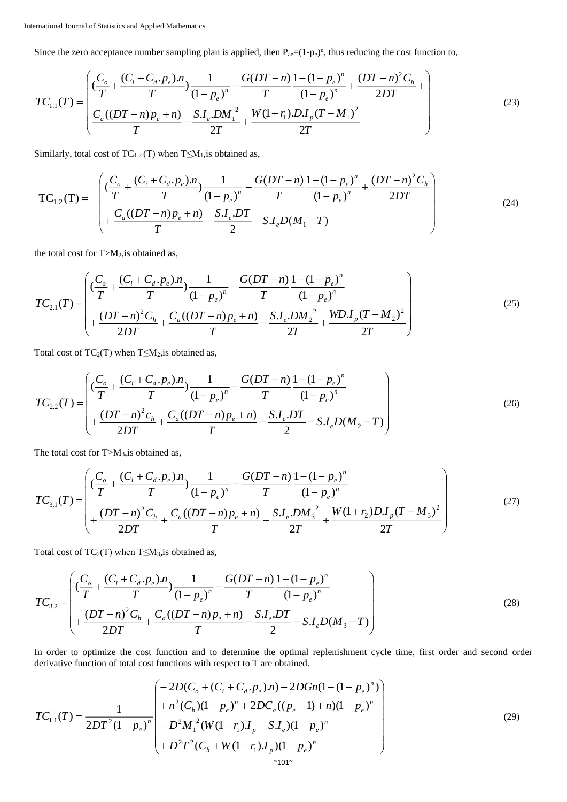Since the zero acceptance number sampling plan is applied, then  $P_{ae} = (1-p_e)^n$ , thus reducing the cost function to,

$$
TC_{1.1}(T) = \begin{pmatrix} \frac{C_o}{T} + \frac{(C_i + C_d \cdot p_e) \cdot n}{T} & \frac{1}{(1 - p_e)^n} - \frac{G(DT - n)}{T} \frac{1 - (1 - p_e)^n}{(1 - p_e)^n} + \frac{(DT - n)^2 C_h}{2DT} + \\ \frac{C_a((DT - n)p_e + n)}{T} - \frac{S.I_e \cdot DM_1^2}{2T} + \frac{W(1 + r_1) D.I_p(T - M_1)^2}{2T} \end{pmatrix}
$$
(23)

Similarly, total cost of  $TC_{1,2}(T)$  when  $T \leq M_1$ , is obtained as,

$$
TC_{1,2}(T) = \begin{pmatrix} \left(\frac{C_o}{T} + \frac{(C_i + C_d \cdot p_e) \cdot n}{T}\right) \frac{1}{(1 - p_e)^n} - \frac{G(DT - n)}{T} \frac{1 - (1 - p_e)^n}{(1 - p_e)^n} + \frac{(DT - n)^2 C_h}{2DT} \\ + \frac{C_a((DT - n)p_e + n)}{T} - \frac{S.I_e DT}{2} - S.I_eD(M_1 - T) \end{pmatrix}
$$
(24)

the total cost for  $T>M_2$ , is obtained as,

$$
TC_{2.1}(T) = \begin{pmatrix} \left(\frac{C_o}{T} + \frac{(C_i + C_d \cdot p_e) \cdot n}{T}\right) \frac{1}{(1 - p_e)^n} - \frac{G(DT - n)}{T} \frac{1 - (1 - p_e)^n}{(1 - p_e)^n} \\ + \frac{(DT - n)^2 C_h}{2DT} + \frac{C_a((DT - n)p_e + n)}{T} - \frac{S.I_e \cdot DM_2^2}{2T} + \frac{WD.I_p(T - M_2)^2}{2T} \end{pmatrix}
$$
(25)

Total cost of  $TC_2(T)$  when  $T \leq M_2$ , is obtained as,

$$
TC_{2,2}(T) = \begin{pmatrix} \frac{C_o}{T} + \frac{(C_i + C_d \cdot p_e) \cdot n}{T} & \frac{1}{(1 - p_e)^n} - \frac{G(DT - n)}{T} \frac{1 - (1 - p_e)^n}{(1 - p_e)^n} \\ + \frac{(DT - n)^2 c_h}{2DT} + \frac{C_a((DT - n)p_e + n)}{T} - \frac{S.I_e.DT}{2} - S.I_eD(M_2 - T) \end{pmatrix}
$$
(26)

The total cost for  $T>M_3$ , is obtained as,

$$
TC_{3.1}(T) = \begin{pmatrix} \left(\frac{C_o}{T} + \frac{(C_i + C_d \cdot p_e) \cdot n}{T}\right) \frac{1}{(1 - p_e)^n} - \frac{G(DT - n)}{T} \frac{1 - (1 - p_e)^n}{(1 - p_e)^n} \\ + \frac{(DT - n)^2 C_h}{2DT} + \frac{C_a((DT - n)p_e + n)}{T} - \frac{S.I_e \cdot DM_3^2}{2T} + \frac{W(1 + r_2)D.I_p(T - M_3)^2}{2T} \end{pmatrix} \tag{27}
$$

Total cost of  $TC_2(T)$  when  $T \leq M_3$ , is obtained as,

$$
TC_{3,2} = \begin{pmatrix} \left(\frac{C_o}{T} + \frac{(C_i + C_d \cdot p_e) \cdot n}{T}\right) \frac{1}{(1 - p_e)^n} - \frac{G(DT - n)}{T} \frac{1 - (1 - p_e)^n}{(1 - p_e)^n} \\ + \frac{(DT - n)^2 C_h}{2DT} + \frac{C_a((DT - n)p_e + n)}{T} - \frac{S.I_e.DT}{2} - S.I_eD(M_3 - T) \end{pmatrix}
$$
(28)

In order to optimize the cost function and to determine the optimal replenishment cycle time, first order and second order derivative function of total cost functions with respect to T are obtained.

$$
TC_{1.1}^{'}(T) = \frac{1}{2DT^2(1-p_e)^n} \begin{pmatrix} -2D(C_o + (C_i + C_d \cdot p_e)n) - 2DGn(1 - (1 - p_e)^n) \\ + n^2(C_h)(1 - p_e)^n + 2DC_a((p_e - 1) + n)(1 - p_e)^n \\ -D^2M_1^2(W(1 - r_1)J_p - SJ_e)(1 - p_e)^n \\ + D^2T^2(C_h + W(1 - r_1)J_p)(1 - p_e)^n \end{pmatrix}
$$
(29)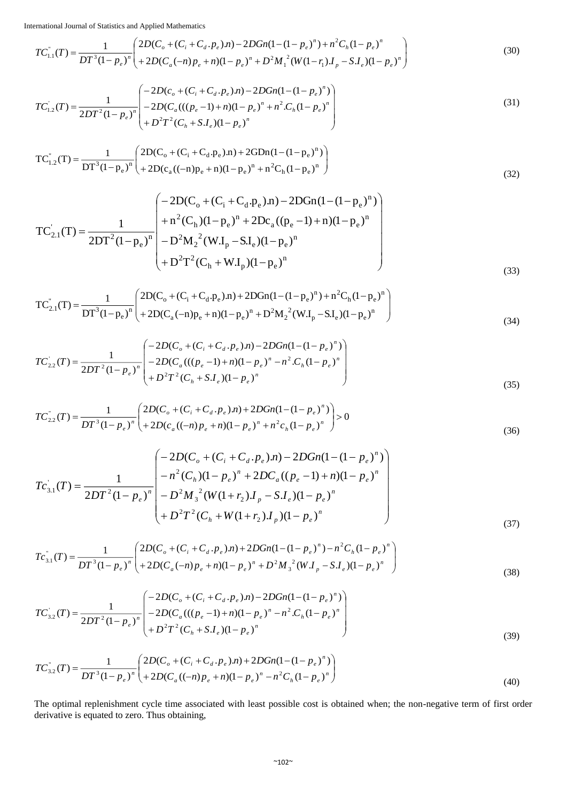$$
TC_{1.1}^{\dagger}(T) = \frac{1}{DT^3(1-p_e)^n} \left( \frac{2D(C_o + (C_i + C_d \cdot p_e)n) - 2DGn(1 - (1 - p_e)^n) + n^2C_h(1 - p_e)^n}{+ 2D(C_a(-n)p_e + n)(1 - p_e)^n + D^2M_1^2(W(1 - r_1)J_p - S.J_e)(1 - p_e)^n} \right)
$$
(30)

$$
TC_{1,2}^{'}(T) = \frac{1}{2DT^2(1-p_e)^n} \begin{pmatrix} -2D(c_o + (C_i + C_d \cdot p_e)n) - 2DGn(1 - (1-p_e)^n) \\ -2D(C_a(((p_e - 1) + n)(1-p_e)^n + n^2 \cdot C_h(1-p_e)^n) \\ + D^2T^2(C_h + S.I_e)(1-p_e)^n \end{pmatrix}
$$
(31)

$$
TC_{1,2}^{''}(T) = \frac{1}{DT^3(1-p_e)^n} \left( \frac{2D(C_o + (C_i + C_d \cdot p_e)n) + 2GDn(1 - (1 - p_e)^n)}{2D(C_a((-n)p_e + n)(1 - p_e)^n + n^2C_h(1 - p_e)^n} \right)
$$
(32)

$$
TC'_{2.1}(T) = \frac{1}{2DT^2(1-p_e)^n} \begin{pmatrix} -2D(C_o + (C_i + C_d.p_e).n) - 2DGn(1-(1-p_e)^n) \\ + n^2(C_h)(1-p_e)^n + 2Dc_a((p_e - 1) + n)(1-p_e)^n \\ -D^2M_2^2(W.I_p - SL_e)(1-p_e)^n \\ + D^2T^2(C_h + W.I_p)(1-p_e)^n \end{pmatrix}
$$
(33)

$$
TC_{2.1}^{"}(T) = \frac{1}{DT^3(1-p_e)^n} \left( \frac{2D(C_o + (C_i + C_d \cdot p_e)n) + 2DGn(1 - (1 - p_e)^n) + n^2C_h(1 - p_e)^n}{+ 2D(C_a(-n)p_e + n)(1 - p_e)^n + D^2M_2^2(W.I_p - SL_e)(1 - p_e)^n} \right)
$$
(34)

$$
TC_{2,2}^{'}(T) = \frac{1}{2DT^{2}(1-p_{e})^{n}} \begin{pmatrix} -2D(C_{o} + (C_{i} + C_{d}, p_{e}), n) - 2DGn(1 - (1-p_{e})^{n}) \\ -2D(C_{a}(((p_{e} - 1) + n)(1-p_{e})^{n} - n^{2} \cdot C_{h}(1-p_{e})^{n}) \\ + D^{2}T^{2}(C_{h} + S \cdot I_{e})(1-p_{e})^{n} \end{pmatrix}
$$
\n(35)

$$
TC_{2,2}^{''}(T) = \frac{1}{DT^3(1-p_e)^n} \left( \frac{2D(C_o + (C_i + C_d \cdot p_e)n) + 2DGn(1-(1-p_e)^n)}{2D(C_a((-n)p_e+n)(1-p_e)^n + n^2c_h(1-p_e)^n} \right) > 0
$$
\n(36)

$$
T c_{3,1}^{'}(T) = \frac{1}{2DT^2(1-p_e)^n} \begin{pmatrix} -2D(C_o + (C_i + C_d \cdot p_e)n) - 2DGn(1-(1-p_e)^n) \\ -n^2(C_h)(1-p_e)^n + 2DC_a((p_e-1)+n)(1-p_e)^n \\ -D^2M_3^2(W(1+r_2)J_p - SJ_e)(1-p_e)^n \\ +D^2T^2(C_h + W(1+r_2)J_p)(1-p_e)^n \end{pmatrix}
$$
(37)

$$
T c_{3,1}^{n}(T) = \frac{1}{DT^{3}(1 - p_e)^{n}} \left( \frac{2D(C_o + (C_i + C_d \cdot p_e)n) + 2DGn(1 - (1 - p_e)^{n}) - n^2 C_h (1 - p_e)^{n}}{2D(C_a(-n)p_e + n)(1 - p_e)^{n} + D^2 M_3^{2} (W.I_p - S.I_e)(1 - p_e)^{n}} \right)
$$
(38)

$$
TC_{3.2}^{'}(T) = \frac{1}{2DT^{2}(1-p_{e})^{n}} \left( \begin{array}{c} -2D(C_{o} + (C_{i} + C_{d}, p_{e})\cdot n) - 2DGn(1-(1-p_{e})^{n}) \\ -2D(C_{a}(((p_{e}-1)+n)(1-p_{e})^{n} - n^{2} \cdot C_{h}(1-p_{e})^{n}) \\ + D^{2}T^{2}(C_{h} + S.I_{e})(1-p_{e})^{n} \end{array} \right) \tag{39}
$$

$$
TC_{3.2}^{''}(T) = \frac{1}{DT^3(1-p_e)^n} \left( \frac{2D(C_o + (C_i + C_d \cdot p_e)n) + 2DGn(1-(1-p_e)^n)}{2D(C_a((-n)p_e + n)(1-p_e)^n - n^2C_h(1-p_e)^n} \right)
$$
\n(40)

The optimal replenishment cycle time associated with least possible cost is obtained when; the non-negative term of first order derivative is equated to zero. Thus obtaining,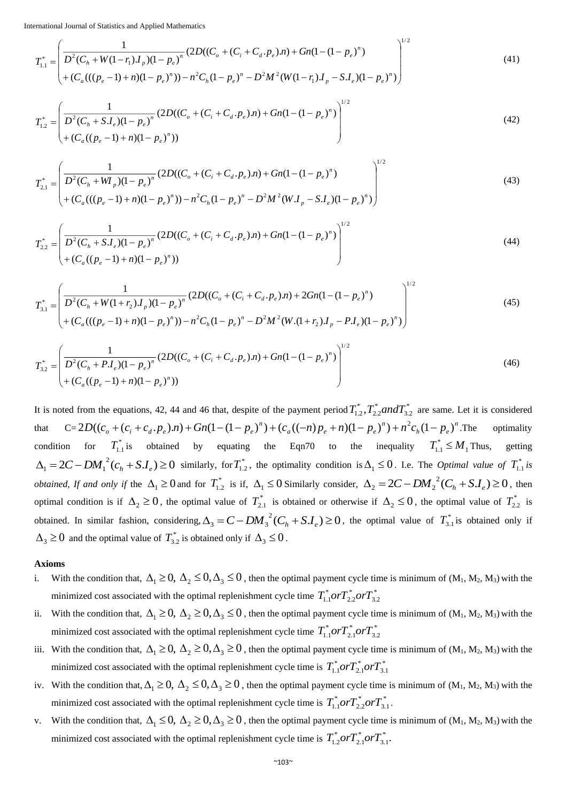$$
T_{1.1}^{*} = \left(\frac{1}{D^{2}(C_{h} + W(1-r_{1})J_{p})(1-p_{e})^{n}}(2D((C_{o} + (C_{i} + C_{d}, p_{e}), n) + Gn(1-(1-p_{e})^{n}))\n+ (C_{a}(((p_{e}-1) + n)(1-p_{e})^{n})) - n^{2}C_{h}(1-p_{e})^{n} - D^{2}M^{2}(W(1-r_{1})J_{p} - S.J_{e})(1-p_{e})^{n})\n\right)^{1/2}
$$
\n
$$
(41)
$$

$$
T_{1,2}^{*} = \left(\frac{1}{D^{2}(C_{h} + S.I_{e})(1 - p_{e})^{n}} (2D((C_{o} + (C_{i} + C_{d}, p_{e}).n) + Gn(1 - (1 - p_{e})^{n}))\right)^{1/2} + (C_{a}((p_{e} - 1) + n)(1 - p_{e})^{n}))
$$
\n(42)

$$
T_{2,1}^{*} = \left(\frac{1}{D^{2}(C_{h} + W_{p})(1 - p_{e})^{n}} (2D((C_{o} + (C_{i} + C_{d}, p_{e}), n) + Gn(1 - (1 - p_{e})^{n}))\right)^{1/2} + (C_{a}(((p_{e} - 1) + n)(1 - p_{e})^{n})) - n^{2}C_{h}(1 - p_{e})^{n} - D^{2}M^{2}(W.I_{p} - S.I_{e})(1 - p_{e})^{n})\right)
$$
\n(43)

$$
T_{2,2}^{*} = \left(\frac{1}{D^{2}(C_{h} + S.I_{e})(1 - p_{e})^{n}} (2D((C_{o} + (C_{i} + C_{d} \cdot p_{e})\cdot n) + Gn(1 - (1 - p_{e})^{n}))\right)^{1/2} + (C_{a}((p_{e} - 1) + n)(1 - p_{e})^{n}))
$$
\n(44)

$$
T_{3,1}^{*} = \left(\frac{1}{D^{2}(C_{h} + W(1+r_{2})J_{p})(1-p_{e})^{n}}(2D((C_{o} + (C_{i} + C_{d}, p_{e}), n) + 2Gn(1-(1-p_{e})^{n}))\right)^{1/2} + (C_{a}(((p_{e}-1) + n)(1-p_{e})^{n})) - n^{2}C_{h}(1-p_{e})^{n} - D^{2}M^{2}(W.(1+r_{2})J_{p} - P.I_{e})(1-p_{e})^{n})\right)
$$
\n(45)

$$
T_{3,2}^{*} = \left(\frac{1}{D^{2}(C_{h} + P.I_{e})(1 - p_{e})^{n}} (2D((C_{o} + (C_{i} + C_{d} \cdot p_{e})\cdot n) + Gn(1 - (1 - p_{e})^{n}))\right)^{1/2} + (C_{a}((p_{e} - 1) + n)(1 - p_{e})^{n}))
$$
\n(46)

It is noted from the equations, 42, 44 and 46 that, despite of the payment period  $T_{1,2}^*$ ,  $T_{2,2}^*$  and  $T_{3,2}^*$ \* 2.2  $T_{1,2}^*$ ,  $T_{2,2}^*$  *and*  $T_{3,2}^*$  are same. Let it is considered that  $C = 2D((c_o + (c_i + c_d \cdot p_e)n) + Gn(1 - (1 - p_e)^n) + (c_a((-n)p_e + n)(1 - p_e)^n) + n^2c_n(1 - p_e)^n$ *a e e e e e e e*  $2D((c_{\rho} + (c_i + c_d \cdot p_e)n) + Gn(1 - (1 - p_e)^n) + (c_a((-n)p_e + n)(1 - p_e)^n) + n^2c_h(1 - p_e)^n$ . The optimality condition for  $T_{1,1}^*$  is obtained by equating the Eqn70 to the inequality  $T_{1,1}^* \leq M_1$  $T_{1,1}^* \leq M_1$  Thus, getting  $\Delta_1 = 2C - DM_1^2(c_h + S.I_e) \ge 0$  similarly, for  $T_{1,2}^*$ , the optimality condition is  $\Delta_1 \le 0$ . I.e. The *Optimal value of*  $T_{1,1}^*$  is *obtained, If and only if the*  $\Delta_1 \ge 0$  and for  $T_{1,2}^*$  is if,  $\Delta_1 \le 0$  Similarly consider,  $\Delta_2 = 2C - DM_2^2(C_h + S.I_e) \ge 0$ , then optimal condition is if  $\Delta_2 \ge 0$ , the optimal value of  $T_{2,1}^*$  is obtained or otherwise if  $\Delta_2 \le 0$ , the optimal value of  $T_{2,2}^*$  is obtained. In similar fashion, considering,  $\Delta_3 = C - DM_3^2(C_h + S.I_e) \ge 0$ , the optimal value of  $T_{3.1}^*$  is obtained only if  $\Delta_3 \geq 0$  and the optimal value of  $T^*_{3,2}$  is obtained only if  $\Delta_3 \leq 0$ .

#### **Axioms**

- i. With the condition that,  $\Delta_1 \ge 0$ ,  $\Delta_2 \le 0$ ,  $\Delta_3 \le 0$ , then the optimal payment cycle time is minimum of  $(M_1, M_2, M_3)$  with the minimized cost associated with the optimal replenishment cycle time  $T_{1,1}^{*} \sigma T_{2,2}^{*} \sigma T_{3,2}^{*}$ \* 2.2 \* *T*1.1*orT orT*
- ii. With the condition that,  $\Delta_1 \ge 0$ ,  $\Delta_2 \ge 0$ ,  $\Delta_3 \le 0$ , then the optimal payment cycle time is minimum of  $(M_1, M_2, M_3)$  with the minimized cost associated with the optimal replenishment cycle time  $T_{1,1}^* \sigma T_{2,1}^* \sigma T_{3,2}^*$ \* 2.1 \* *T*1.1*orT orT*
- iii. With the condition that,  $\Delta_1 \ge 0$ ,  $\Delta_2 \ge 0$ ,  $\Delta_3 \ge 0$ , then the optimal payment cycle time is minimum of (M<sub>1</sub>, M<sub>2</sub>, M<sub>3</sub>) with the minimized cost associated with the optimal replenishment cycle time is  $T_{1,1}^* \sigma T_{2,1}^* \sigma T_{3,1}^*$ \* 2.1 \* *T*1.1*orT orT*
- iv. With the condition that,  $\Delta_1 \ge 0$ ,  $\Delta_2 \le 0$ ,  $\Delta_3 \ge 0$ , then the optimal payment cycle time is minimum of (M<sub>1</sub>, M<sub>2</sub>, M<sub>3</sub>) with the minimized cost associated with the optimal replenishment cycle time is  $T_{1,1}^{*} \sigma T_{2,2}^{*} \sigma T_{3,1}^{*}$ \*<br>2.2  $T_{1.1}^*$ or $T_{2.2}^*$ or $T_{3.1}^*$ .
- v. With the condition that,  $\Delta_1 \leq 0$ ,  $\Delta_2 \geq 0$ ,  $\Delta_3 \geq 0$ , then the optimal payment cycle time is minimum of  $(M_1, M_2, M_3)$  with the minimized cost associated with the optimal replenishment cycle time is  $T_{1,2}^{*} \text{or} T_{2,1}^{*} \text{or} T_{3,1}^{*}$ . \* 2.1 \* *T*1.2*orT orT*